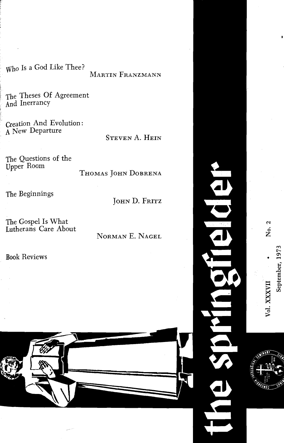Who Is a God Like Thee?

## MARTIN FRANZMANN

The Theses Of Agreement And Inerrancy

Creation And Evolution: A New Departure

**STEVEN A. HEIN** 

The Questions of the Upper Room

THOMAS JOHN DOBRENA

The Beginnings

JOHN D. FRITZ

The Gospel Is What<br>Lutherans Care About

NORMAN E. NAGEL

**Book Reviews** 





 $\mathbf{c}$ 

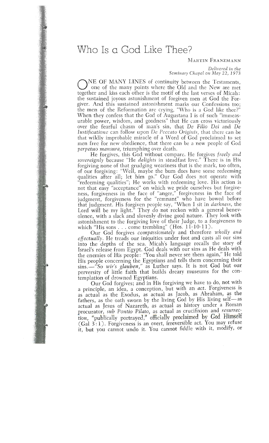## Who Is a God Like Thee?<br>MARTIN FRANZMANN

## *Delivered* **in** *the Semiwary Chcrpel on* Alay *22,* 1973

NE OF MANY LINES of continuity between the Testaments,<br>one of the many points where the Old and the New are met together and kiss each other is the motif of the last verses of Micah: the sustained joyous astonishment of forgiven men at God the Forgiver. And this sustained astonishment marks our Confessions too; the men of the Reformation are crying, "Who is a God like thee?" When they confess that the God of Augustana I is of such "immeasurable power, wisdom, and goodness" that He can cross victoriously over the fearful chasm of man's sin, that De Filio Dei and De Iustificatione can follow upon De Peccato Originis, that there can be *Iustificationc* Can follow upon *De Feccato Originis*, that there can be that wilclif improbable miracle of a *word* of God proclaimed to set men free for new obedience, that there can be a new people of God *perpetuo mansura*, triumphing over death.

He forgives, this God without compare. He forgives freely and sovereignly because "He delights in steadfast love." There is in His forgiving none of that grudging weariness that is the mark, too often, of our forgiving: "Well, maybe the bum does have some redeeming qualities after all; let him go." Our God does not operate with "redeeming qualities"; He works with redeeming love. His action is redeeming quanties"; He works with redeeming love. His action is not that easy acceptance on which we pride ourselves but forgiveness, forgiveness in the face of anger, forgiveness in the face of judgment, forgiveness for the Temmant who have bowed before that judgment. His forgiven people say, "Whcn I sit in *darkness,* the olence, with a slack and slovenly divine good nature. They look with astonishment to the forgiving love of their Judge, to a forgiveness to astonishment to the forgiving love of their Judge, to a forgiveness to<br>which "His sons . . . come trembling" (Hos. 11-10-11).<br>Our God forgives compassionately and therefore wholly and

Our God forgives *compassionately* and therefore *wholly and effectually*. He treads our iniquities under foot and casts all our sins into the depths of the sea. Micah's language recalls the story of Israel's release from Egypt. God deals with our sins as He deals with the enemies of His people: "You shall never see them again," He told His people concerning the Egyptians and tells them concerning their His people concerning the Egyptians and tells them concerning their sins.-- So *wir's glauben*, as Luther says. It is not God but our perversity of little faith that builds dreary museums for the con-<br>templation of drowned Egyptians.

Our God forgives; and in His forgiving we have to do, not with a principle, an idea, a conception, but with an act. Forgiveness is as actual as the Exodus, as actual as Jacob, as Abraham, as the fathers, as the oath sworn by the living God by His living self-as actual as Jesus of Nazareth, as actual as history under a Roman procurator, sub Pontio Pilato, as actual as crucifixion and resurrecprocurator, *sub Pontio Pitato*, as actual as crucifixion and *resurretion,* "publically portrayed," officially proclaimed by God Trinisen (Gal  $3:1$ ). Forgiveness is an overt, irreversible act. You may refuse<br> $\ddot{x}$  but you connot unde it. You connot fiddle with it modify, or it, but you cannot undo it. You cannot fiddle with it, modify, or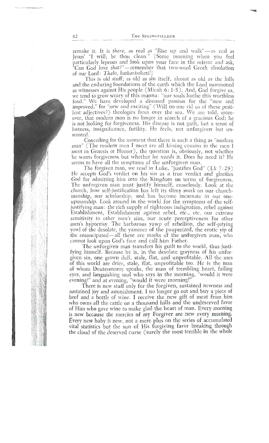remake it. It is *there*, as real as "Rise up and walk"—as real as Jesus' "I will; be thou clean." [Some morning when you feel particularly leprous and look upon your face in the mirror and ask. "Can God love that?"—remember that two-word Greek absolution of our Lord: Thelo, katharistheti!)

This is old stuff; as old as sin itself, almost as old as the hills and the enduring foundations of the earth which the Lord summoned as witnesses against His people (Micah  $6:1-5$ ). And, God forgive us, we tend to grow weary of this manna: "our souls loathe this worthless food." We have developed a diseased passion for the "new and improved," for "new and exciting" (Will no one rid us of these pestilent adjectives?) theologies from over the sea. We are told, moreover, that modern man is no longer in search of a gracious God; he is not looking for forgiveness. His disease is not guilt, but a sense of lostness, insignificance, futility. He feels, not unforgiven but unwanted.

Conceding for the moment that there is such a thing as "modern man" (The modern men I meet are all kissing cousins to the men I meet in Genesis or Homer), the question is, obviously, not whether he wants forgiveness but whether he needs it. Does he need it? He seems to have all the symptoms of the unforgiven man.

The forgiven man, we read in Luke, "justifies God" (Lk 7:29) He accepts God's verdict on his sin as a true verdict and glorifies God for admitting him into the Kingdom on terms of forgiveness. The unforgiven man must justify himself, ceaselessly. Look at the church, how self-justification has left its slimy mark on our churchmanship, our scholarship, and has become incarnate in our oneupmanship. Look around in the world for the symptoms of the selfjustifying man: the rich supply of righteous indignation, rebel against Establishment, Establishment against rebel, etc., etc. our extreme sensitivity to other men's sins, our acute perceptiveness for other men's hypocrisy. The barbarous yawp of rebellion, the self-pitying yowl of the desolate, the yammer of the pauperized, the erotic vip of the emancipated—all these are marks of the unforgiven man, who cannot look upon God's face and call him Father.

The unforgiven man transfers his guilt to the world, thus justifying himself. Because he is, in the desolate grayness of his unforgiven sin, one grown dull, stale, flat, and unprofitable. All the uses of this world are drier, stale, flat, unprofitable too. He is the man of whom Deuteronomy speaks, the man of trembling heart, failing eyes, and languishing soul who says in the morning, "would it were evening!" and at evening, "would it were morning!"

There is new stuff only for the forgiven, sustained newness and sustained joy and astonishment. I no longer go out and buy a piece of beef and a bottle of wine. I receive the new gift of meat from him who owns all the cattle on a thousand hills and the undeserved favor of Him who gave wine to make glad the heart of man. Every morning is new because the mercies of my Forgiver are new every morning. Every new baby is new, not a mere plus on the series of accumulated vital statistics but the sun of His forgiving favor breaking through the cloud of the deserved curse (surely the most terrible in the whole